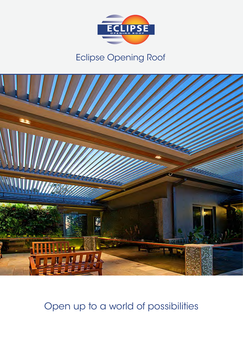

## Eclipse Opening Roof



Open up to a world of possibilities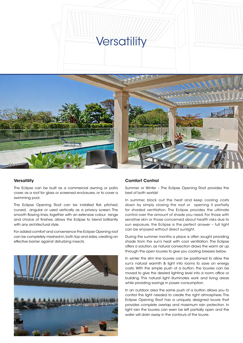

#### **Versatility**

The Eclipse can be built as a commercial awning or patio cover, as a roof for glass or screened enclosures, or to cover a swimming pool.

The Eclipse Opening Roof can be installed flat, pitched, curved, angular or used vertically as a privacy screen. The smooth flowing lines, together with an extensive colour range and choice of finishes, allows the Eclipse to blend brilliantly with any architectural style.

For added comfort and convenience the Eclipse Opening roof can be completely meshed-in, both top and sides, creating an effective barrier against disturbing insects.



#### Comfort Control

Summer or Winter – The Eclipse Opening Roof provides the best of both worlds!

In summer, block out the heat and keep cooling costs down by simply closing the roof or opening it partially for shaded ventilation. The Eclipse provides the ultimate control over the amount of shade you need. For those with sensitive skin or those concerned about health risks due to sun exposure, the Eclipse is the perfect answer – full light can be enjoyed without direct sunlight.

During the summer months a place is often sought providing shade from the sun's heat with cool ventilation. The Eclipse offers a solution, as natural convection draws the warm air up through the open louvres to give you cooling breezes below.

In winter the slim line louvres can be positioned to allow the sun's natural warmth & light into rooms to save on energy costs. With the simple push of a button, the louvres can be moved to give the desired lighting level into a room, office or building. This natural light illuminates work and living areas while providing savings in power consumption.

In an outdoor area the same push of a button allows you to control the light needed to create the right atmosphere. The Eclipse Opening Roof has a uniquely designed louvre that provides complete overlap and maximum rain protection. In light rain the louvres can even be left partially open and the water will drain away in the contours of the louvre.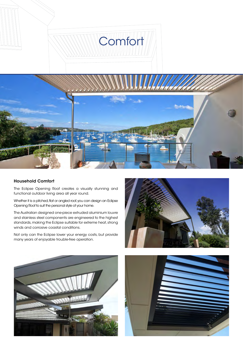

#### Household Comfort

The Eclipse Opening Roof creates a visually stunning and functional outdoor living area all year round.

Whether it is a pitched, flat or angled roof, you can design an Eclipse Opening Roof to suit the personal style of your home.

The Australian designed one-piece extruded aluminium louvre and stainless steel components are engineered to the highest standards, making the Eclipse suitable for extreme heat, strong winds and corrosive coastal conditions.

Not only can the Eclipse lower your energy costs, but provide many years of enjoyable trouble-free operation.





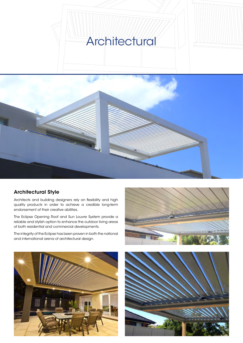# **Architectural**





#### Architectural Style

Architects and building designers rely on flexibility and high quality products in order to achieve a credible long-term endorsement of their creative abilities.

The Eclipse Opening Roof and Sun Louvre System provide a reliable and stylish option to enhance the outdoor living areas of both residential and commercial developments.

The integrity of the Eclipse has been proven in both the national and international arena of architectural design.





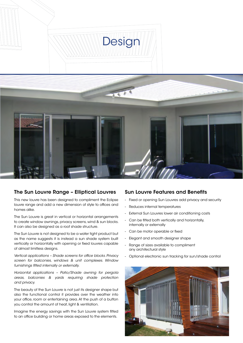

#### The Sun Louvre Range – Elliptical Louvres

This new louvre has been designed to compliment the Eclipse louvre range and add a new dimension of style to offices and homes alike.

The Sun Louvre is great in vertical or horizontal arrangements to create window awnings, privacy screens, wind & sun blocks. It can also be designed as a roof shade structure.

The Sun Louvre is not designed to be a water tight product but as the name suggests it is instead a sun shade system built vertically or horizontally with opening or fixed louvres capable of almost limitless designs.

*Vertical applications – Shade screens for office blocks. Privacy screen for balconies, windows & unit complexes. Window furnishings fitted internally or externally.* 

*Horizontal applications – Patio/Shade awning for pergola areas, balconies & yards requiring shade protection and privacy.*

The beauty of the Sun Louvre is not just its designer shape but also the functional control it provides over the weather into your office, room or entertaining area. At the push of a button you control the amount of heat, light & ventilation.

Imagine the energy savings with the Sun Louvre system fitted to an office building or home areas exposed to the elements.

#### Sun Louvre Features and Benefits

- Fixed or opening Sun Louvres add privacy and security
- Reduces internal temperatures
- External Sun Louvres lower air conditioning costs
- Can be fitted both vertically and horizontally, internally or externally
- Can be motor operable or fixed
- Elegant and smooth designer shape
- Range of sizes available to compliment any architectural style
- Optional electronic sun tracking for sun/shade control

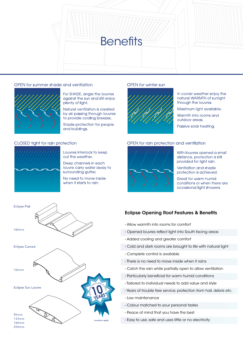

#### OPEN for summer shade and ventilation



For SHADE, angle the louvres against the sun and still enjoy plenty of light.

Natural ventilation is created by air passing through louvres to provide cooling breezes.

Shade protection for people and buildings,

#### CLOSED tight for rain protection



Louvres interlock to keep out the weather.

Deep channels in each louvre carry water away to surrounding gutter.

No need to move inside when it starts to rain.

#### OPEN for winter sun



In cooler weather enjoy the natural WARMTH of sunlight through the louvres.

Maximum light available.

Warmth into rooms and outdoor areas.

Passive solar heating.

#### OPEN for rain protection and ventilation



With louvres opened a small distance, protection is still provided for light rain.

Ventilation and shade protection is achieved.

Great for warm humid conditions or when there are occasional light showers.

#### Eclipse Opening Roof Features & Benefits

- Allow warmth into rooms for comfort
- Opened louvres reflect light into South facing areas
- Added cooling and greater comfort
- Cold and dark rooms are brought to life with natural light
- Complete control is available
- There is no need to move inside when it rains
- Catch the rain while partially open to allow ventilation
- Particularly beneficial for warm humid conditions
- Tailored to individual needs to add value and style
- Years of trouble free service, protection from hail, debris etc.
- Low maintenance
- Colour matched to your personal tastes
- Peace of mind that you have the best
- Easy to use, safe and uses little or no electricity

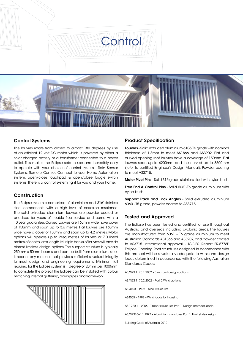

#### Control Systems

The louvres rotate from closed to almost 180 degrees by use of an efficient 12 volt DC motor which is powered by either a solar charged battery or a transformer connected to a power outlet. This makes the Eclipse safe to use and incredibly easy to operate with your choice of control systems: Rain Sensor Systems, Remote Control, Connect to your Home Automation system, open/close touchpad & open/close toggle switch systems. There is a control system right for you and your home.

#### **Construction**

The Eclipse system is comprised of aluminium and '316' stainless steel components with a high level of corrosion resistance. The solid extruded aluminium louvres are powder coated or anodised for years of trouble free service and come with a 10 year guarantee. Curved Louvres are 165mm wide have cover of 150mm and span up to 3.6 metres. Flat louvres are 160mm wide have a cover of 150mm and span up to 4.2 metres. Motor options will operate up to 24sq metres of louvres or 7.0 lineal metres of control-arm length. Multiple banks of louvres will provide almost limitless design options. The support structure is typically 250mm x 50mm beams and can be built from aluminium, steel, timber or any material that provides sufficient structural integrity to meet design and engineering requirements. Minimum fall required for the Eclipse system is 1 degree or 20mm per 1000mm. To complete the project the Eclipse can be installed with colour matching internal guttering, downpipes and framework.



#### Product Specification

Louvres - Solid extruded aluminium 6106-T6 grade with nominal thickness of 1.8mm to meet AS1866 and AS3902. Flat and curved opening roof louvres have a coverage of 150mm. Flat louvres span up to 4200mm and the curved up to 3600mm (refer to certified Engineer's Design Manual). Powder coating to meet AS3715.

Motor Pivot Pins - Solid 316 grade stainless steel with nylon bush.

Free End & Control Pins - Solid 6061-T6 grade aluminium with nylon bush.

Support Track and Lock Angles - Solid extruded aluminium 6060 - T5 grade, powder coated to AS3715.

#### Tested and Approved

The Eclipse has been tested and certified for use throughout Australia and overseas including cyclonic areas. The louvres are manufactured from 6061 – T6 grade aluminium to meet Australian Standards AS1866 and AS3902, and powder coated to AS3715. International approval – ICC-ES. Report ER-5776P. Eclipse Opening Roof structures designed in accordance with this manual will be structurally adequate to withstand design loads determined in accordance with the following Australian Standards Codes:

AS/NZS 1170.1:2002 – Structural design actions

AS/NZS 1170.2:2002 – Part 2 Wind actions

AS 4100 – 1998 – Steel structures

AS4055 – 1992 – Wind loads for housing

AS 1720.1 – 2006 – Timber structures Part 1: Design methods code

AS/NZS1664.1:1997 – Aluminium structures Part 1: Limit state design

Building Code of Australia 2012